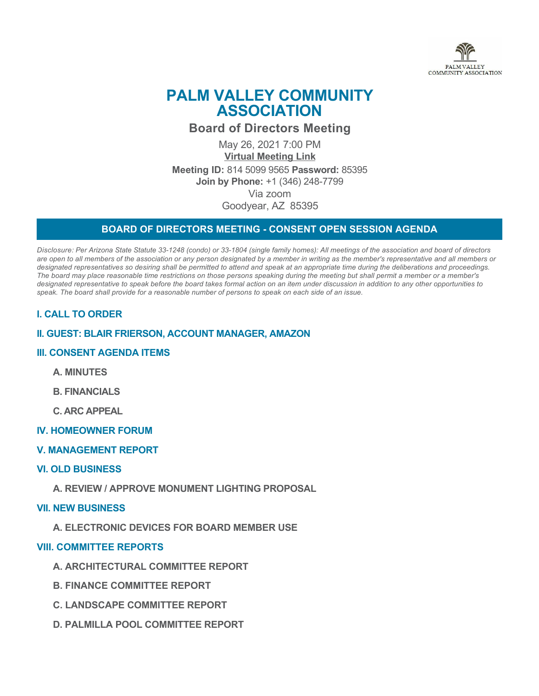

# **PALM VALLEY COMMUNITY ASSOCIATION**

**Board of Directors Meeting**

May 26, 2021 7:00 PM **[Virtual Meeting Link](https://zoom.us/j/81450999565) Meeting ID:** 814 5099 9565 **Password:** 85395 **Join by Phone:** +1 (346) 248-7799 Via zoom Goodyear, AZ 85395

## **BOARD OF DIRECTORS MEETING - CONSENT OPEN SESSION AGENDA**

*Disclosure: Per Arizona State Statute 33-1248 (condo) or 33-1804 (single family homes): All meetings of the association and board of directors are open to all members of the association or any person designated by a member in writing as the member's representative and all members or designated representatives so desiring shall be permitted to attend and speak at an appropriate time during the deliberations and proceedings. The board may place reasonable time restrictions on those persons speaking during the meeting but shall permit a member or a member's designated representative to speak before the board takes formal action on an item under discussion in addition to any other opportunities to speak. The board shall provide for a reasonable number of persons to speak on each side of an issue.* 

# **I. CALL TO ORDER**

## **II. GUEST: BLAIR FRIERSON, ACCOUNT MANAGER, AMAZON**

## **III. CONSENT AGENDA ITEMS**

- **A. MINUTES**
- **B. FINANCIALS**
- **C. ARC APPEAL**
- **IV. HOMEOWNER FORUM**
- **V. MANAGEMENT REPORT**

### **VI. OLD BUSINESS**

**A. REVIEW / APPROVE MONUMENT LIGHTING PROPOSAL**

### **VII. NEW BUSINESS**

**A. ELECTRONIC DEVICES FOR BOARD MEMBER USE**

### **VIII. COMMITTEE REPORTS**

- **A. ARCHITECTURAL COMMITTEE REPORT**
- **B. FINANCE COMMITTEE REPORT**
- **C. LANDSCAPE COMMITTEE REPORT**
- **D. PALMILLA POOL COMMITTEE REPORT**